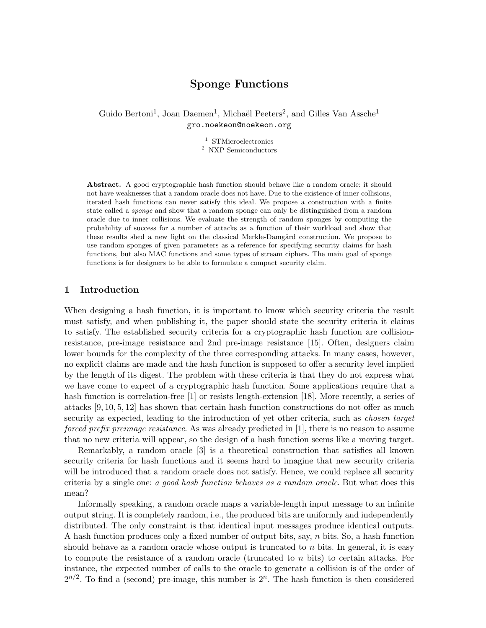# Sponge Functions

Guido Bertoni<sup>1</sup>, Joan Daemen<sup>1</sup>, Michaël Peeters<sup>2</sup>, and Gilles Van Assche<sup>1</sup> gro.noekeon@noekeon.org

> <sup>1</sup> STMicroelectronics <sup>2</sup> NXP Semiconductors

Abstract. A good cryptographic hash function should behave like a random oracle: it should not have weaknesses that a random oracle does not have. Due to the existence of inner collisions, iterated hash functions can never satisfy this ideal. We propose a construction with a finite state called a sponge and show that a random sponge can only be distinguished from a random oracle due to inner collisions. We evaluate the strength of random sponges by computing the probability of success for a number of attacks as a function of their workload and show that these results shed a new light on the classical Merkle-Damgård construction. We propose to use random sponges of given parameters as a reference for specifying security claims for hash functions, but also MAC functions and some types of stream ciphers. The main goal of sponge functions is for designers to be able to formulate a compact security claim.

# 1 Introduction

When designing a hash function, it is important to know which security criteria the result must satisfy, and when publishing it, the paper should state the security criteria it claims to satisfy. The established security criteria for a cryptographic hash function are collisionresistance, pre-image resistance and 2nd pre-image resistance [15]. Often, designers claim lower bounds for the complexity of the three corresponding attacks. In many cases, however, no explicit claims are made and the hash function is supposed to offer a security level implied by the length of its digest. The problem with these criteria is that they do not express what we have come to expect of a cryptographic hash function. Some applications require that a hash function is correlation-free [1] or resists length-extension [18]. More recently, a series of attacks [9, 10, 5, 12] has shown that certain hash function constructions do not offer as much security as expected, leading to the introduction of yet other criteria, such as *chosen target* forced prefix preimage resistance. As was already predicted in [1], there is no reason to assume that no new criteria will appear, so the design of a hash function seems like a moving target.

Remarkably, a random oracle [3] is a theoretical construction that satisfies all known security criteria for hash functions and it seems hard to imagine that new security criteria will be introduced that a random oracle does not satisfy. Hence, we could replace all security criteria by a single one: a good hash function behaves as a random oracle. But what does this mean?

Informally speaking, a random oracle maps a variable-length input message to an infinite output string. It is completely random, i.e., the produced bits are uniformly and independently distributed. The only constraint is that identical input messages produce identical outputs. A hash function produces only a fixed number of output bits, say, n bits. So, a hash function should behave as a random oracle whose output is truncated to  $n$  bits. In general, it is easy to compute the resistance of a random oracle (truncated to n bits) to certain attacks. For instance, the expected number of calls to the oracle to generate a collision is of the order of  $2^{n/2}$ . To find a (second) pre-image, this number is  $2^n$ . The hash function is then considered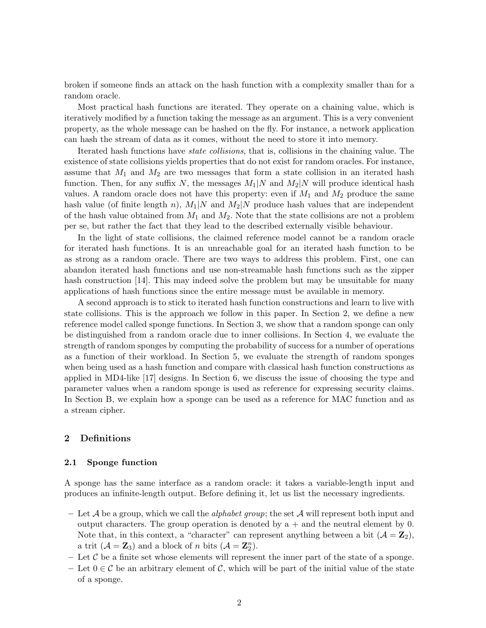broken if someone finds an attack on the hash function with a complexity smaller than for a random oracle.

Most practical hash functions are iterated. They operate on a chaining value, which is iteratively modified by a function taking the message as an argument. This is a very convenient property, as the whole message can be hashed on the fly. For instance, a network application can hash the stream of data as it comes, without the need to store it into memory.

Iterated hash functions have state collisions, that is, collisions in the chaining value. The existence of state collisions yields properties that do not exist for random oracles. For instance, assume that  $M_1$  and  $M_2$  are two messages that form a state collision in an iterated hash function. Then, for any suffix N, the messages  $M_1|N$  and  $M_2|N$  will produce identical hash values. A random oracle does not have this property: even if  $M_1$  and  $M_2$  produce the same hash value (of finite length n),  $M_1|N$  and  $M_2|N$  produce hash values that are independent of the hash value obtained from  $M_1$  and  $M_2$ . Note that the state collisions are not a problem per se, but rather the fact that they lead to the described externally visible behaviour.

In the light of state collisions, the claimed reference model cannot be a random oracle for iterated hash functions. It is an unreachable goal for an iterated hash function to be as strong as a random oracle. There are two ways to address this problem. First, one can abandon iterated hash functions and use non-streamable hash functions such as the zipper hash construction [14]. This may indeed solve the problem but may be unsuitable for many applications of hash functions since the entire message must be available in memory.

A second approach is to stick to iterated hash function constructions and learn to live with state collisions. This is the approach we follow in this paper. In Section 2, we define a new reference model called sponge functions. In Section 3, we show that a random sponge can only be distinguished from a random oracle due to inner collisions. In Section 4, we evaluate the strength of random sponges by computing the probability of success for a number of operations as a function of their workload. In Section 5, we evaluate the strength of random sponges when being used as a hash function and compare with classical hash function constructions as applied in MD4-like [17] designs. In Section 6, we discuss the issue of choosing the type and parameter values when a random sponge is used as reference for expressing security claims. In Section B, we explain how a sponge can be used as a reference for MAC function and as a stream cipher.

# 2 Definitions

### 2.1 Sponge function

A sponge has the same interface as a random oracle: it takes a variable-length input and produces an infinite-length output. Before defining it, let us list the necessary ingredients.

- Let A be a group, which we call the *alphabet group*; the set A will represent both input and output characters. The group operation is denoted by  $a +$  and the neutral element by 0. Note that, in this context, a "character" can represent anything between a bit  $(A = \mathbb{Z}_2)$ , a trit  $(A = \mathbf{Z}_3)$  and a block of n bits  $(A = \mathbf{Z}_2^n)$ .
- Let  $\mathcal C$  be a finite set whose elements will represent the inner part of the state of a sponge.
- Let  $0 \in \mathcal{C}$  be an arbitrary element of  $\mathcal{C}$ , which will be part of the initial value of the state of a sponge.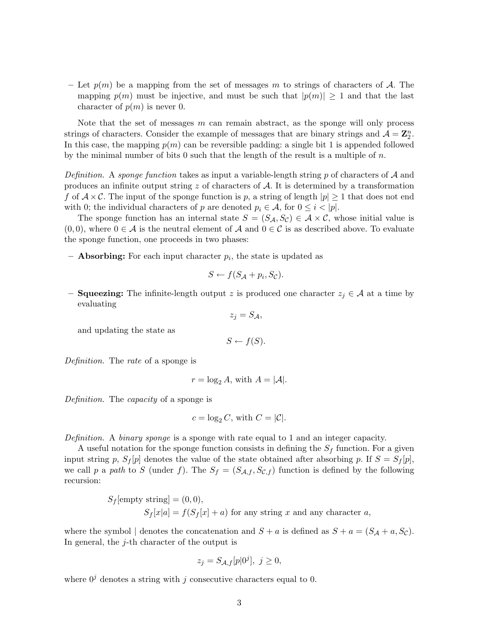– Let  $p(m)$  be a mapping from the set of messages m to strings of characters of A. The mapping  $p(m)$  must be injective, and must be such that  $|p(m)| \geq 1$  and that the last character of  $p(m)$  is never 0.

Note that the set of messages  $m$  can remain abstract, as the sponge will only process strings of characters. Consider the example of messages that are binary strings and  $A = \mathbb{Z}_2^n$ . In this case, the mapping  $p(m)$  can be reversible padding: a single bit 1 is appended followed by the minimal number of bits 0 such that the length of the result is a multiple of  $n$ .

Definition. A sponge function takes as input a variable-length string p of characters of  $\mathcal A$  and produces an infinite output string  $z$  of characters of  $A$ . It is determined by a transformation f of  $A \times C$ . The input of the sponge function is p, a string of length  $|p| \geq 1$  that does not end with 0; the individual characters of p are denoted  $p_i \in \mathcal{A}$ , for  $0 \leq i < |p|$ .

The sponge function has an internal state  $S = (S_{\mathcal{A}}, S_{\mathcal{C}}) \in \mathcal{A} \times \mathcal{C}$ , whose initial value is  $(0,0)$ , where  $0 \in \mathcal{A}$  is the neutral element of  $\mathcal{A}$  and  $0 \in \mathcal{C}$  is as described above. To evaluate the sponge function, one proceeds in two phases:

 $-$  **Absorbing:** For each input character  $p_i$ , the state is updated as

$$
S \leftarrow f(S_{\mathcal{A}} + p_i, S_{\mathcal{C}}).
$$

– **Squeezing:** The infinite-length output z is produced one character  $z_j \in \mathcal{A}$  at a time by evaluating

$$
z_j = S_{\mathcal{A}},
$$

and updating the state as

$$
S \leftarrow f(S).
$$

Definition. The rate of a sponge is

$$
r = \log_2 A, \text{ with } A = |\mathcal{A}|.
$$

Definition. The *capacity* of a sponge is

$$
c = \log_2 C, \text{ with } C = |\mathcal{C}|.
$$

Definition. A binary sponge is a sponge with rate equal to 1 and an integer capacity.

A useful notation for the sponge function consists in defining the  $S_f$  function. For a given input string p,  $S_f[p]$  denotes the value of the state obtained after absorbing p. If  $S = S_f[p]$ , we call p a path to S (under f). The  $S_f = (S_{\mathcal{A},f}, S_{\mathcal{C},f})$  function is defined by the following recursion:

> $S_f$ [empty string] = (0,0),  $S_f[x|a] = f(S_f[x] + a)$  for any string x and any character a,

where the symbol | denotes the concatenation and  $S + a$  is defined as  $S + a = (S_A + a, S_C)$ . In general, the  $j$ -th character of the output is

$$
z_j = S_{\mathcal{A},f}[p|0^j], \ j \ge 0,
$$

where  $0^j$  denotes a string with j consecutive characters equal to 0.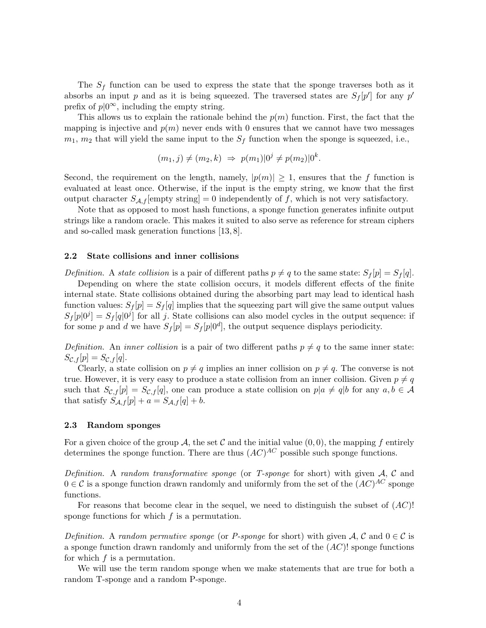The  $S_f$  function can be used to express the state that the sponge traverses both as it absorbs an input p and as it is being squeezed. The traversed states are  $S_f[p']$  for any p' prefix of  $p|0^{\infty}$ , including the empty string.

This allows us to explain the rationale behind the  $p(m)$  function. First, the fact that the mapping is injective and  $p(m)$  never ends with 0 ensures that we cannot have two messages  $m_1$ ,  $m_2$  that will yield the same input to the  $S_f$  function when the sponge is squeezed, i.e.,

$$
(m_1, j) \neq (m_2, k) \Rightarrow p(m_1) | 0^j \neq p(m_2) | 0^k.
$$

Second, the requirement on the length, namely,  $|p(m)| \geq 1$ , ensures that the f function is evaluated at least once. Otherwise, if the input is the empty string, we know that the first output character  $S_{\mathcal{A},f}[\text{empty string}] = 0$  independently of f, which is not very satisfactory.

Note that as opposed to most hash functions, a sponge function generates infinite output strings like a random oracle. This makes it suited to also serve as reference for stream ciphers and so-called mask generation functions [13, 8].

### 2.2 State collisions and inner collisions

Definition. A state collision is a pair of different paths  $p \neq q$  to the same state:  $S_f[p] = S_f[q]$ .

Depending on where the state collision occurs, it models different effects of the finite internal state. State collisions obtained during the absorbing part may lead to identical hash function values:  $S_f[p] = S_f[q]$  implies that the squeezing part will give the same output values  $S_f[p]0^j] = S_f[q]0^j$  for all j. State collisions can also model cycles in the output sequence: if for some p and d we have  $S_f[p] = S_f[p]0^d$ , the output sequence displays periodicity.

Definition. An inner collision is a pair of two different paths  $p \neq q$  to the same inner state:  $S_{\mathcal{C},f}[p] = S_{\mathcal{C},f}[q].$ 

Clearly, a state collision on  $p \neq q$  implies an inner collision on  $p \neq q$ . The converse is not true. However, it is very easy to produce a state collision from an inner collision. Given  $p \neq q$ such that  $S_{\mathcal{C},f}[p] = S_{\mathcal{C},f}[q]$ , one can produce a state collision on  $p|a \neq q|b$  for any  $a, b \in \mathcal{A}$ that satisfy  $S_{\mathcal{A},f}[p] + a = S_{\mathcal{A},f}[q] + b.$ 

### 2.3 Random sponges

For a given choice of the group A, the set C and the initial value  $(0,0)$ , the mapping f entirely determines the sponge function. There are thus  $(AC)^{AC}$  possible such sponge functions.

Definition. A random transformative sponge (or T-sponge for short) with given  $A, C$  and  $0 \in \mathcal{C}$  is a sponge function drawn randomly and uniformly from the set of the  $(AC)^{AC}$  sponge functions.

For reasons that become clear in the sequel, we need to distinguish the subset of  $(AC)!$ sponge functions for which  $f$  is a permutation.

Definition. A random permutive sponge (or P-sponge for short) with given  $\mathcal{A}, \mathcal{C}$  and  $0 \in \mathcal{C}$  is a sponge function drawn randomly and uniformly from the set of the  $(AC)!$  sponge functions for which  $f$  is a permutation.

We will use the term random sponge when we make statements that are true for both a random T-sponge and a random P-sponge.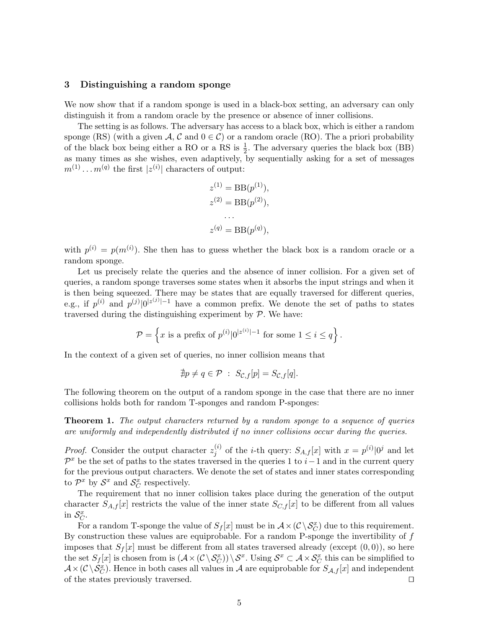### 3 Distinguishing a random sponge

We now show that if a random sponge is used in a black-box setting, an adversary can only distinguish it from a random oracle by the presence or absence of inner collisions.

The setting is as follows. The adversary has access to a black box, which is either a random sponge (RS) (with a given  $\mathcal{A}, \mathcal{C}$  and  $0 \in \mathcal{C}$ ) or a random oracle (RO). The a priori probability of the black box being either a RO or a RS is  $\frac{1}{2}$ . The adversary queries the black box (BB) as many times as she wishes, even adaptively, by sequentially asking for a set of messages  $m^{(1)} \dots m^{(q)}$  the first  $|z^{(i)}|$  characters of output:

$$
z^{(1)} = \text{BB}(p^{(1)}),
$$
  
\n
$$
z^{(2)} = \text{BB}(p^{(2)}),
$$
  
\n...  
\n
$$
z^{(q)} = \text{BB}(p^{(q)}),
$$

with  $p^{(i)} = p(m^{(i)})$ . She then has to guess whether the black box is a random oracle or a random sponge.

Let us precisely relate the queries and the absence of inner collision. For a given set of queries, a random sponge traverses some states when it absorbs the input strings and when it is then being squeezed. There may be states that are equally traversed for different queries, e.g., if  $p^{(i)}$  and  $p^{(j)}|0^{|z^{(j)}|-1}$  have a common prefix. We denote the set of paths to states traversed during the distinguishing experiment by  $P$ . We have:

$$
\mathcal{P} = \left\{ x \text{ is a prefix of } p^{(i)} | 0^{|z^{(i)}|-1} \text{ for some } 1 \le i \le q \right\}.
$$

In the context of a given set of queries, no inner collision means that

$$
\nexists p \neq q \in \mathcal{P} \; : \; S_{\mathcal{C},f}[p] = S_{\mathcal{C},f}[q].
$$

The following theorem on the output of a random sponge in the case that there are no inner collisions holds both for random T-sponges and random P-sponges:

**Theorem 1.** The output characters returned by a random sponge to a sequence of queries are uniformly and independently distributed if no inner collisions occur during the queries.

*Proof.* Consider the output character  $z_i^{(i)}$  $j^{(i)}$  of the *i*-th query:  $S_{A,f}[x]$  with  $x = p^{(i)}|0^j$  and let  $\mathcal{P}^x$  be the set of paths to the states traversed in the queries 1 to i–1 and in the current query for the previous output characters. We denote the set of states and inner states corresponding to  $\mathcal{P}^x$  by  $\mathcal{S}^x$  and  $\mathcal{S}_{\mathcal{C}}^x$  respectively.

The requirement that no inner collision takes place during the generation of the output character  $S_{A,f}[x]$  restricts the value of the inner state  $S_{C,f}[x]$  to be different from all values in  $\mathcal{S}_C^x$ .

For a random T-sponge the value of  $S_f[x]$  must be in  $\mathcal{A} \times (\mathcal{C} \setminus \mathcal{S}_C^x)$  due to this requirement. By construction these values are equiprobable. For a random P-sponge the invertibility of  $f$ imposes that  $S_f[x]$  must be different from all states traversed already (except  $(0,0)$ ), so here the set  $S_f[x]$  is chosen from is  $(\mathcal{A} \times (\mathcal{C} \setminus \mathcal{S}_{\mathcal{C}}^x)) \setminus \mathcal{S}^x$ . Using  $\mathcal{S}^x \subset \mathcal{A} \times \mathcal{S}_{\mathcal{C}}^x$  this can be simplified to  $\mathcal{A} \times (\mathcal{C} \setminus \mathcal{S}_{C}^{x})$ . Hence in both cases all values in  $\mathcal{A}$  are equiprobable for  $S_{\mathcal{A},f}[x]$  and independent of the states previously traversed.  $\Box$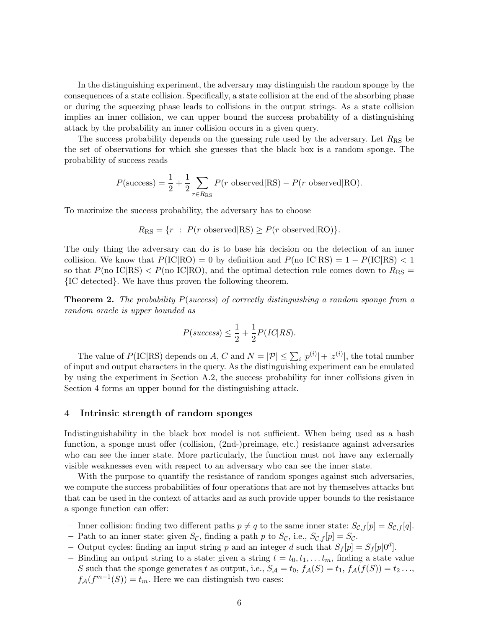In the distinguishing experiment, the adversary may distinguish the random sponge by the consequences of a state collision. Specifically, a state collision at the end of the absorbing phase or during the squeezing phase leads to collisions in the output strings. As a state collision implies an inner collision, we can upper bound the success probability of a distinguishing attack by the probability an inner collision occurs in a given query.

The success probability depends on the guessing rule used by the adversary. Let  $R_{\rm RS}$  be the set of observations for which she guesses that the black box is a random sponge. The probability of success reads

$$
P(\text{success}) = \frac{1}{2} + \frac{1}{2} \sum_{r \in R_{\text{RS}}} P(r \text{ observed} | \text{RS}) - P(r \text{ observed} | \text{RO}).
$$

To maximize the success probability, the adversary has to choose

$$
R_{\rm RS} = \{r : P(r \text{ observed}|RS) \ge P(r \text{ observed}|RO)\}.
$$

The only thing the adversary can do is to base his decision on the detection of an inner collision. We know that  $P(\text{IC}|\text{RO}) = 0$  by definition and  $P(\text{no IC}|\text{RS}) = 1 - P(\text{IC}|\text{RS}) < 1$ so that  $P(\text{no IC}|\text{RS}) < P(\text{no IC}|\text{RO})$ , and the optimal detection rule comes down to  $R_{\text{RS}} =$ {IC detected}. We have thus proven the following theorem.

**Theorem 2.** The probability  $P$ (success) of correctly distinguishing a random sponge from a random oracle is upper bounded as

$$
P(success) \leq \frac{1}{2} + \frac{1}{2}P(IC|RS).
$$

The value of  $P(\text{IC}|\text{RS})$  depends on A, C and  $N = |\mathcal{P}| \leq \sum_i |p^{(i)}| + |z^{(i)}|$ , the total number of input and output characters in the query. As the distinguishing experiment can be emulated by using the experiment in Section A.2, the success probability for inner collisions given in Section 4 forms an upper bound for the distinguishing attack.

### 4 Intrinsic strength of random sponges

Indistinguishability in the black box model is not sufficient. When being used as a hash function, a sponge must offer (collision, (2nd-)preimage, etc.) resistance against adversaries who can see the inner state. More particularly, the function must not have any externally visible weaknesses even with respect to an adversary who can see the inner state.

With the purpose to quantify the resistance of random sponges against such adversaries, we compute the success probabilities of four operations that are not by themselves attacks but that can be used in the context of attacks and as such provide upper bounds to the resistance a sponge function can offer:

- Inner collision: finding two different paths  $p \neq q$  to the same inner state:  $S_{\mathcal{C},f}[p] = S_{\mathcal{C},f}[q]$ .
- Path to an inner state: given  $S_{\mathcal{C}}$ , finding a path p to  $S_{\mathcal{C}}$ , i.e.,  $S_{\mathcal{C},f}[p] = S_{\mathcal{C}}$ .
- Output cycles: finding an input string p and an integer d such that  $S_f[p] = S_f[p]0^d$ .
- Binding an output string to a state: given a string  $t = t_0, t_1, \ldots t_m$ , finding a state value S such that the sponge generates t as output, i.e.,  $S_A = t_0$ ,  $f_A(S) = t_1$ ,  $f_A(f(S)) = t_2$ ...,  $f_{\mathcal{A}}(f^{m-1}(S)) = t_m$ . Here we can distinguish two cases: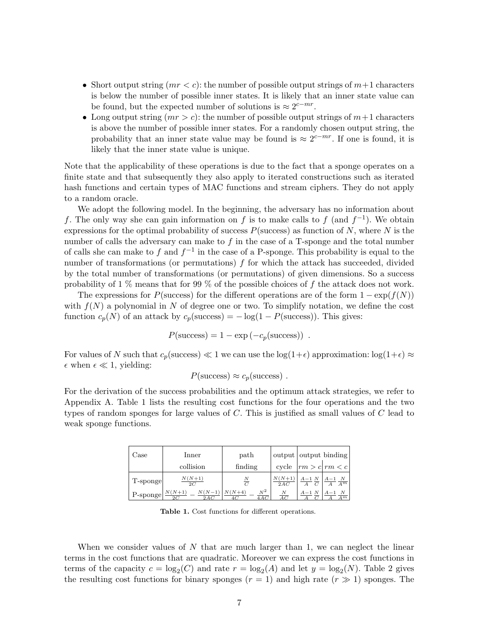- Short output string  $(mr < c)$ : the number of possible output strings of  $m+1$  characters is below the number of possible inner states. It is likely that an inner state value can be found, but the expected number of solutions is  $\approx 2^{c-mr}$ .
- Long output string  $(mr > c)$ : the number of possible output strings of  $m+1$  characters is above the number of possible inner states. For a randomly chosen output string, the probability that an inner state value may be found is  $\approx 2^{c-mr}$ . If one is found, it is likely that the inner state value is unique.

Note that the applicability of these operations is due to the fact that a sponge operates on a finite state and that subsequently they also apply to iterated constructions such as iterated hash functions and certain types of MAC functions and stream ciphers. They do not apply to a random oracle.

We adopt the following model. In the beginning, the adversary has no information about f. The only way she can gain information on f is to make calls to f (and  $f^{-1}$ ). We obtain expressions for the optimal probability of success  $P$ (success) as function of N, where N is the number of calls the adversary can make to  $f$  in the case of a T-sponge and the total number of calls she can make to f and  $f^{-1}$  in the case of a P-sponge. This probability is equal to the number of transformations (or permutations)  $f$  for which the attack has succeeded, divided by the total number of transformations (or permutations) of given dimensions. So a success probability of 1 % means that for 99 % of the possible choices of f the attack does not work.

The expressions for P(success) for the different operations are of the form  $1 - \exp(f(N))$ with  $f(N)$  a polynomial in N of degree one or two. To simplify notation, we define the cost function  $c_p(N)$  of an attack by  $c_p(\text{success}) = -\log(1 - P(\text{success}))$ . This gives:

$$
P(\text{success}) = 1 - \exp(-c_p(\text{success})) .
$$

For values of N such that  $c_p$ (success)  $\ll 1$  we can use the log(1+ $\epsilon$ ) approximation: log(1+ $\epsilon$ )  $\approx$  $\epsilon$  when  $\epsilon \ll 1$ , yielding:

$$
P(\text{success}) \approx c_p(\text{success})
$$
.

For the derivation of the success probabilities and the optimum attack strategies, we refer to Appendix A. Table 1 lists the resulting cost functions for the four operations and the two types of random sponges for large values of C. This is justified as small values of C lead to weak sponge functions.

| $\rm Case$ | $_{\rm Inner}$                    | path                             |                 | output output binding             |                              |
|------------|-----------------------------------|----------------------------------|-----------------|-----------------------------------|------------------------------|
|            | collision                         | finding                          | cycle           | $\vert rm > c \vert rm < c \vert$ |                              |
| T-sponge   | $N(N+1)$<br>2C                    | N                                | $N(N+1)$<br>2AC | $A-1$ N                           | $\frac{A-1}{A}\frac{N}{A^m}$ |
| P-sponge   | $N(N-1)$<br>$N(N+1)$<br>2C<br>2AC | $N^2$<br>$N(N+4)$<br>4 A C<br>4С | АC              | $A-1$ N                           | N<br>Am                      |

Table 1. Cost functions for different operations.

When we consider values of  $N$  that are much larger than 1, we can neglect the linear terms in the cost functions that are quadratic. Moreover we can express the cost functions in terms of the capacity  $c = \log_2(C)$  and rate  $r = \log_2(A)$  and let  $y = \log_2(N)$ . Table 2 gives the resulting cost functions for binary sponges  $(r = 1)$  and high rate  $(r \gg 1)$  sponges. The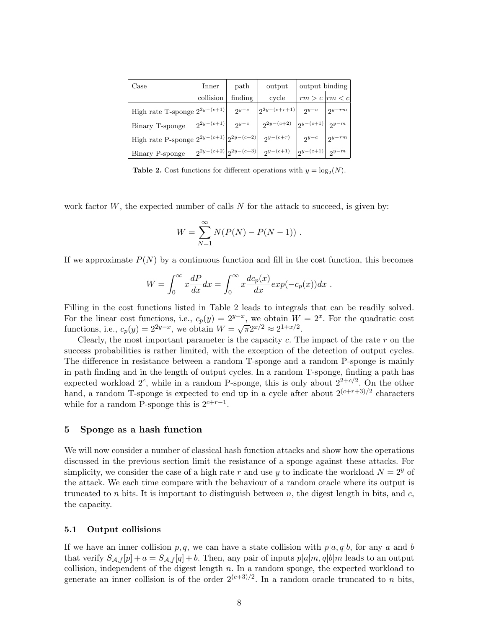| Case                                | Inner                        | path                                           | output             | output binding       |            |
|-------------------------------------|------------------------------|------------------------------------------------|--------------------|----------------------|------------|
|                                     | collision                    | finding                                        | cycle              | $rm > c$  rm $\lt c$ |            |
| High rate T-sponge $ 2^{2y-(c+1)} $ |                              | $2^{y-c}$                                      | $ 2^{2y-(c+r+1)} $ | $2^{y-c}$            | $2^{y-rm}$ |
| Binary T-sponge                     | $2^{2y-(c+1)}$               | $2^{y-c}$                                      | $2^{2y-(c+2)}$     | $ 2^{y-(c+1)} $      | $2^{y-m}$  |
| High rate P-sponge                  | $ 2^{2y-(c+1)} 2^{2y-(c+2)}$ |                                                | $2^{y-(c+r)}$      | $2^{y-c}$            | $2^{y-rm}$ |
| Binary P-sponge                     |                              | $\left 2^{2y-(c+2)}\right 2^{2y-(c+3)}\right $ | $2^{y-(c+1)}$      | $ 2^{y-(c+1)} $      | $2^{y-m}$  |

**Table 2.** Cost functions for different operations with  $y = log_2(N)$ .

work factor  $W$ , the expected number of calls  $N$  for the attack to succeed, is given by:

$$
W = \sum_{N=1}^{\infty} N(P(N) - P(N - 1)) \; .
$$

If we approximate  $P(N)$  by a continuous function and fill in the cost function, this becomes

$$
W = \int_0^\infty x \frac{dP}{dx} dx = \int_0^\infty x \frac{dc_p(x)}{dx} exp(-c_p(x)) dx.
$$

Filling in the cost functions listed in Table 2 leads to integrals that can be readily solved. For the linear cost functions, i.e.,  $c_p(y) = 2^{y-x}$ , we obtain  $W = 2^x$ . For the quadratic cost functions, i.e.,  $c_p(y) = 2^{2y-x}$ , we obtain  $W = \sqrt{\pi} 2^{x/2} \approx 2^{1+x/2}$ .

Clearly, the most important parameter is the capacity  $c$ . The impact of the rate  $r$  on the success probabilities is rather limited, with the exception of the detection of output cycles. The difference in resistance between a random T-sponge and a random P-sponge is mainly in path finding and in the length of output cycles. In a random T-sponge, finding a path has expected workload  $2^c$ , while in a random P-sponge, this is only about  $2^{2+c/2}$ . On the other hand, a random T-sponge is expected to end up in a cycle after about  $2^{(c+r+3)/2}$  characters while for a random P-sponge this is  $2^{c+r-1}$ .

#### 5 Sponge as a hash function

We will now consider a number of classical hash function attacks and show how the operations discussed in the previous section limit the resistance of a sponge against these attacks. For simplicity, we consider the case of a high rate r and use y to indicate the workload  $N = 2<sup>y</sup>$  of the attack. We each time compare with the behaviour of a random oracle where its output is truncated to n bits. It is important to distinguish between n, the digest length in bits, and  $c$ , the capacity.

### 5.1 Output collisions

If we have an inner collision p, q, we can have a state collision with  $p|a, q|b$ , for any a and b that verify  $S_{\mathcal{A},f}[p] + a = S_{\mathcal{A},f}[q] + b$ . Then, any pair of inputs  $p|a|m, q|b|m$  leads to an output collision, independent of the digest length  $n$ . In a random sponge, the expected workload to generate an inner collision is of the order  $2^{(c+3)/2}$ . In a random oracle truncated to n bits,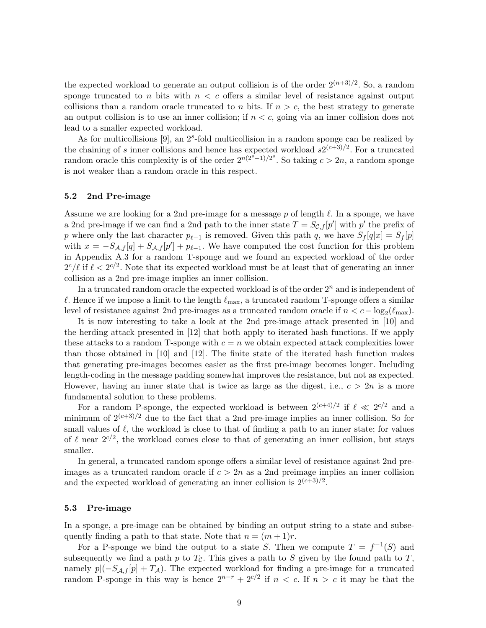the expected workload to generate an output collision is of the order  $2^{(n+3)/2}$ . So, a random sponge truncated to n bits with  $n < c$  offers a similar level of resistance against output collisions than a random oracle truncated to n bits. If  $n > c$ , the best strategy to generate an output collision is to use an inner collision; if  $n < c$ , going via an inner collision does not lead to a smaller expected workload.

As for multicollisions  $[9]$ , an  $2<sup>s</sup>$ -fold multicollision in a random sponge can be realized by the chaining of s inner collisions and hence has expected workload  $s2^{(c+3)/2}$ . For a truncated random oracle this complexity is of the order  $2^{n(2^{s}-1)/2^{s}}$ . So taking  $c > 2n$ , a random sponge is not weaker than a random oracle in this respect.

### 5.2 2nd Pre-image

Assume we are looking for a 2nd pre-image for a message p of length  $\ell$ . In a sponge, we have a 2nd pre-image if we can find a 2nd path to the inner state  $T = S_{\mathcal{C},f}[p']$  with  $p'$  the prefix of p where only the last character  $p_{\ell-1}$  is removed. Given this path q, we have  $S_f[q|x] = S_f[p]$ with  $x = -S_{\mathcal{A},f}[q] + S_{\mathcal{A},f}[p'] + p_{\ell-1}$ . We have computed the cost function for this problem in Appendix A.3 for a random T-sponge and we found an expected workload of the order  $2^{c}/\ell$  if  $\ell < 2^{c/2}$ . Note that its expected workload must be at least that of generating an inner collision as a 2nd pre-image implies an inner collision.

In a truncated random oracle the expected workload is of the order  $2<sup>n</sup>$  and is independent of  $\ell$ . Hence if we impose a limit to the length  $\ell_{\text{max}}$ , a truncated random T-sponge offers a similar level of resistance against 2nd pre-images as a truncated random oracle if  $n < c - \log_2(\ell_{\text{max}})$ .

It is now interesting to take a look at the 2nd pre-image attack presented in [10] and the herding attack presented in [12] that both apply to iterated hash functions. If we apply these attacks to a random T-sponge with  $c = n$  we obtain expected attack complexities lower than those obtained in [10] and [12]. The finite state of the iterated hash function makes that generating pre-images becomes easier as the first pre-image becomes longer. Including length-coding in the message padding somewhat improves the resistance, but not as expected. However, having an inner state that is twice as large as the digest, i.e.,  $c > 2n$  is a more fundamental solution to these problems.

For a random P-sponge, the expected workload is between  $2^{(c+4)/2}$  if  $\ell \ll 2^{c/2}$  and a minimum of  $2^{(c+3)/2}$  due to the fact that a 2nd pre-image implies an inner collision. So for small values of  $\ell$ , the workload is close to that of finding a path to an inner state; for values of  $\ell$  near  $2^{c/2}$ , the workload comes close to that of generating an inner collision, but stays smaller.

In general, a truncated random sponge offers a similar level of resistance against 2nd preimages as a truncated random oracle if  $c > 2n$  as a 2nd preimage implies an inner collision and the expected workload of generating an inner collision is  $2^{(c+3)/2}$ .

### 5.3 Pre-image

In a sponge, a pre-image can be obtained by binding an output string to a state and subsequently finding a path to that state. Note that  $n = (m + 1)r$ .

For a P-sponge we bind the output to a state S. Then we compute  $T = f^{-1}(S)$  and subsequently we find a path p to  $T_c$ . This gives a path to S given by the found path to T, namely  $p|(-S_{\mathcal{A},f}[p] + T_{\mathcal{A}})$ . The expected workload for finding a pre-image for a truncated random P-sponge in this way is hence  $2^{n-r} + 2^{c/2}$  if  $n < c$ . If  $n > c$  it may be that the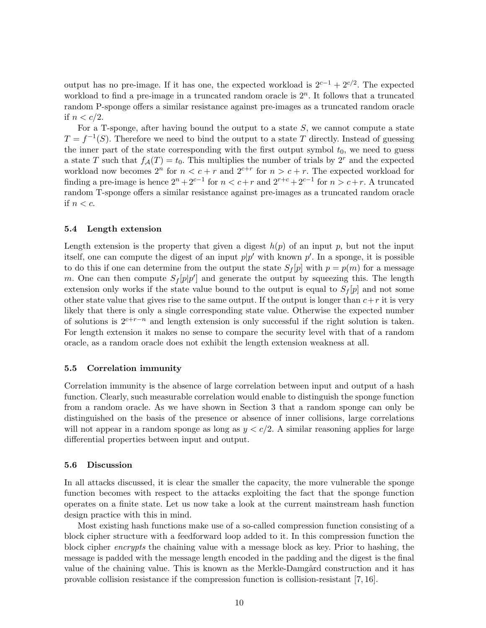output has no pre-image. If it has one, the expected workload is  $2^{c-1} + 2^{c/2}$ . The expected workload to find a pre-image in a truncated random oracle is  $2<sup>n</sup>$ . It follows that a truncated random P-sponge offers a similar resistance against pre-images as a truncated random oracle if  $n < c/2$ .

For a T-sponge, after having bound the output to a state  $S$ , we cannot compute a state  $T = f^{-1}(S)$ . Therefore we need to bind the output to a state T directly. Instead of guessing the inner part of the state corresponding with the first output symbol  $t_0$ , we need to guess a state T such that  $f_{\mathcal{A}}(T) = t_0$ . This multiplies the number of trials by  $2^r$  and the expected workload now becomes  $2^n$  for  $n < c + r$  and  $2^{c+r}$  for  $n > c + r$ . The expected workload for finding a pre-image is hence  $2^{n} + 2^{c-1}$  for  $n < c+r$  and  $2^{r+c} + 2^{c-1}$  for  $n > c+r$ . A truncated random T-sponge offers a similar resistance against pre-images as a truncated random oracle if  $n < c$ .

### 5.4 Length extension

Length extension is the property that given a digest  $h(p)$  of an input p, but not the input itself, one can compute the digest of an input  $p|p'$  with known  $p'$ . In a sponge, it is possible to do this if one can determine from the output the state  $S_f[p]$  with  $p = p(m)$  for a message m. One can then compute  $S_f[p|p']$  and generate the output by squeezing this. The length extension only works if the state value bound to the output is equal to  $S_f[p]$  and not some other state value that gives rise to the same output. If the output is longer than  $c+r$  it is very likely that there is only a single corresponding state value. Otherwise the expected number of solutions is  $2^{c+r-n}$  and length extension is only successful if the right solution is taken. For length extension it makes no sense to compare the security level with that of a random oracle, as a random oracle does not exhibit the length extension weakness at all.

### 5.5 Correlation immunity

Correlation immunity is the absence of large correlation between input and output of a hash function. Clearly, such measurable correlation would enable to distinguish the sponge function from a random oracle. As we have shown in Section 3 that a random sponge can only be distinguished on the basis of the presence or absence of inner collisions, large correlations will not appear in a random sponge as long as  $y < c/2$ . A similar reasoning applies for large differential properties between input and output.

### 5.6 Discussion

In all attacks discussed, it is clear the smaller the capacity, the more vulnerable the sponge function becomes with respect to the attacks exploiting the fact that the sponge function operates on a finite state. Let us now take a look at the current mainstream hash function design practice with this in mind.

Most existing hash functions make use of a so-called compression function consisting of a block cipher structure with a feedforward loop added to it. In this compression function the block cipher encrypts the chaining value with a message block as key. Prior to hashing, the message is padded with the message length encoded in the padding and the digest is the final value of the chaining value. This is known as the Merkle-Damgård construction and it has provable collision resistance if the compression function is collision-resistant [7, 16].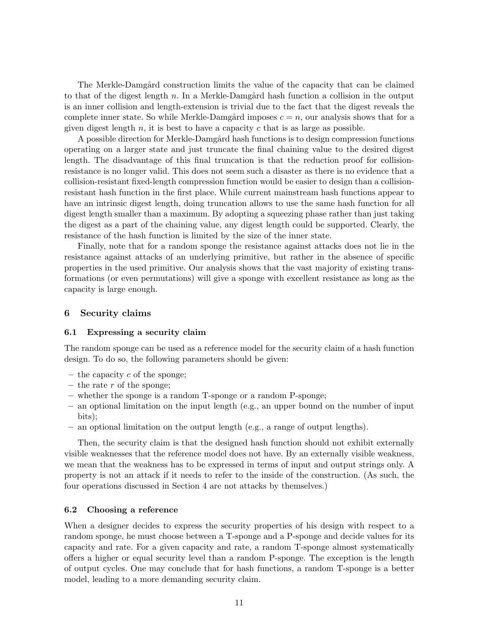The Merkle-Damgård construction limits the value of the capacity that can be claimed to that of the digest length n. In a Merkle-Damgård hash function a collision in the output is an inner collision and length-extension is trivial due to the fact that the digest reveals the complete inner state. So while Merkle-Damgård imposes  $c = n$ , our analysis shows that for a given digest length  $n$ , it is best to have a capacity  $c$  that is as large as possible.

A possible direction for Merkle-Damgård hash functions is to design compression functions operating on a larger state and just truncate the final chaining value to the desired digest length. The disadvantage of this final truncation is that the reduction proof for collisionresistance is no longer valid. This does not seem such a disaster as there is no evidence that a collision-resistant fixed-length compression function would be easier to design than a collisionresistant hash function in the first place. While current mainstream hash functions appear to have an intrinsic digest length, doing truncation allows to use the same hash function for all digest length smaller than a maximum. By adopting a squeezing phase rather than just taking the digest as a part of the chaining value, any digest length could be supported. Clearly, the resistance of the hash function is limited by the size of the inner state.

Finally, note that for a random sponge the resistance against attacks does not lie in the resistance against attacks of an underlying primitive, but rather in the absence of specific properties in the used primitive. Our analysis shows that the vast majority of existing transformations (or even permutations) will give a sponge with excellent resistance as long as the capacity is large enough.

# 6 Security claims

#### 6.1 Expressing a security claim

The random sponge can be used as a reference model for the security claim of a hash function design. To do so, the following parameters should be given:

- the capacity  $c$  of the sponge;
- the rate r of the sponge;
- $-$  whether the sponge is a random T-sponge or a random P-sponge;
- an optional limitation on the input length (e.g., an upper bound on the number of input bits);
- an optional limitation on the output length (e.g., a range of output lengths).

Then, the security claim is that the designed hash function should not exhibit externally visible weaknesses that the reference model does not have. By an externally visible weakness, we mean that the weakness has to be expressed in terms of input and output strings only. A property is not an attack if it needs to refer to the inside of the construction. (As such, the four operations discussed in Section 4 are not attacks by themselves.)

# 6.2 Choosing a reference

When a designer decides to express the security properties of his design with respect to a random sponge, he must choose between a T-sponge and a P-sponge and decide values for its capacity and rate. For a given capacity and rate, a random T-sponge almost systematically offers a higher or equal security level than a random P-sponge. The exception is the length of output cycles. One may conclude that for hash functions, a random T-sponge is a better model, leading to a more demanding security claim.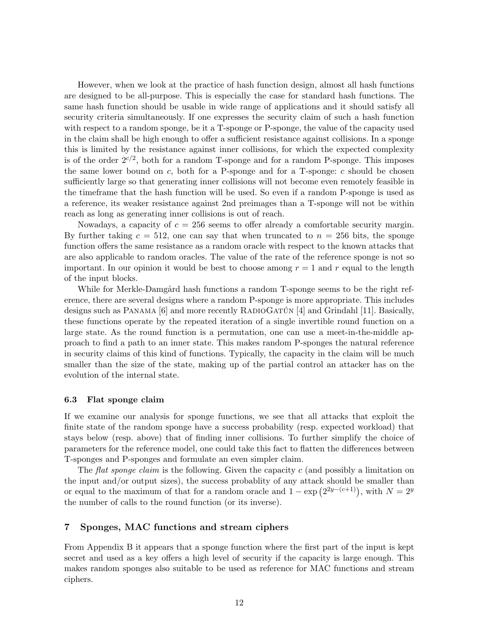However, when we look at the practice of hash function design, almost all hash functions are designed to be all-purpose. This is especially the case for standard hash functions. The same hash function should be usable in wide range of applications and it should satisfy all security criteria simultaneously. If one expresses the security claim of such a hash function with respect to a random sponge, be it a T-sponge or P-sponge, the value of the capacity used in the claim shall be high enough to offer a sufficient resistance against collisions. In a sponge this is limited by the resistance against inner collisions, for which the expected complexity is of the order  $2^{c/2}$ , both for a random T-sponge and for a random P-sponge. This imposes the same lower bound on  $c$ , both for a P-sponge and for a T-sponge:  $c$  should be chosen sufficiently large so that generating inner collisions will not become even remotely feasible in the timeframe that the hash function will be used. So even if a random P-sponge is used as a reference, its weaker resistance against 2nd preimages than a T-sponge will not be within reach as long as generating inner collisions is out of reach.

Nowadays, a capacity of  $c = 256$  seems to offer already a comfortable security margin. By further taking  $c = 512$ , one can say that when truncated to  $n = 256$  bits, the sponge function offers the same resistance as a random oracle with respect to the known attacks that are also applicable to random oracles. The value of the rate of the reference sponge is not so important. In our opinion it would be best to choose among  $r = 1$  and r equal to the length of the input blocks.

While for Merkle-Damgård hash functions a random T-sponge seems to be the right reference, there are several designs where a random P-sponge is more appropriate. This includes designs such as PANAMA  $[6]$  and more recently RADIOGATUN  $[4]$  and Grindahl [11]. Basically, these functions operate by the repeated iteration of a single invertible round function on a large state. As the round function is a permutation, one can use a meet-in-the-middle approach to find a path to an inner state. This makes random P-sponges the natural reference in security claims of this kind of functions. Typically, the capacity in the claim will be much smaller than the size of the state, making up of the partial control an attacker has on the evolution of the internal state.

### 6.3 Flat sponge claim

If we examine our analysis for sponge functions, we see that all attacks that exploit the finite state of the random sponge have a success probability (resp. expected workload) that stays below (resp. above) that of finding inner collisions. To further simplify the choice of parameters for the reference model, one could take this fact to flatten the differences between T-sponges and P-sponges and formulate an even simpler claim.

The flat sponge claim is the following. Given the capacity c (and possibly a limitation on the input and/or output sizes), the success probablity of any attack should be smaller than or equal to the maximum of that for a random oracle and  $1 - \exp(2^{2y-(c+1)})$ , with  $N = 2^y$ the number of calls to the round function (or its inverse).

# 7 Sponges, MAC functions and stream ciphers

From Appendix B it appears that a sponge function where the first part of the input is kept secret and used as a key offers a high level of security if the capacity is large enough. This makes random sponges also suitable to be used as reference for MAC functions and stream ciphers.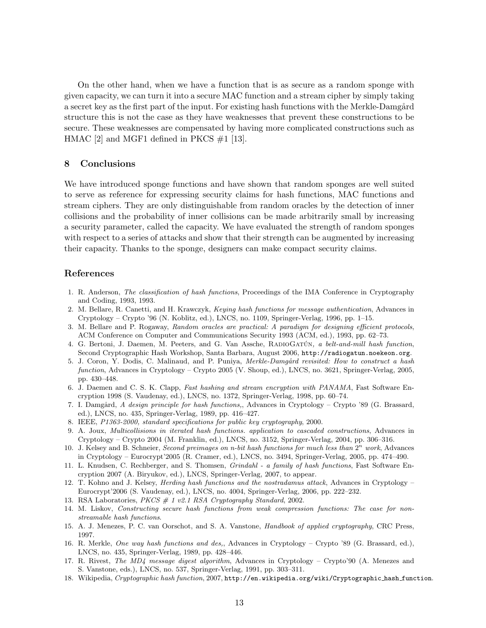On the other hand, when we have a function that is as secure as a random sponge with given capacity, we can turn it into a secure MAC function and a stream cipher by simply taking a secret key as the first part of the input. For existing hash functions with the Merkle-Damgård structure this is not the case as they have weaknesses that prevent these constructions to be secure. These weaknesses are compensated by having more complicated constructions such as HMAC [2] and MGF1 defined in PKCS  $\#1$  [13].

### 8 Conclusions

We have introduced sponge functions and have shown that random sponges are well suited to serve as reference for expressing security claims for hash functions, MAC functions and stream ciphers. They are only distinguishable from random oracles by the detection of inner collisions and the probability of inner collisions can be made arbitrarily small by increasing a security parameter, called the capacity. We have evaluated the strength of random sponges with respect to a series of attacks and show that their strength can be augmented by increasing their capacity. Thanks to the sponge, designers can make compact security claims.

### References

- 1. R. Anderson, The classification of hash functions, Proceedings of the IMA Conference in Cryptography and Coding, 1993, 1993.
- 2. M. Bellare, R. Canetti, and H. Krawczyk, Keying hash functions for message authentication, Advances in Cryptology – Crypto '96 (N. Koblitz, ed.), LNCS, no. 1109, Springer-Verlag, 1996, pp. 1–15.
- 3. M. Bellare and P. Rogaway, Random oracles are practical: A paradigm for designing efficient protocols, ACM Conference on Computer and Communications Security 1993 (ACM, ed.), 1993, pp. 62–73.
- 4. G. Bertoni, J. Daemen, M. Peeters, and G. Van Assche, RADIOGATÚN, a belt-and-mill hash function, Second Cryptographic Hash Workshop, Santa Barbara, August 2006, http://radiogatun.noekeon.org.
- 5. J. Coron, Y. Dodis, C. Malinaud, and P. Puniya, Merkle-Damgård revisited: How to construct a hash function, Advances in Cryptology – Crypto 2005 (V. Shoup, ed.), LNCS, no. 3621, Springer-Verlag, 2005, pp. 430–448.
- 6. J. Daemen and C. S. K. Clapp, Fast hashing and stream encryption with PANAMA, Fast Software Encryption 1998 (S. Vaudenay, ed.), LNCS, no. 1372, Springer-Verlag, 1998, pp. 60–74.
- 7. I. Damgård, A design principle for hash functions,, Advances in Cryptology Crypto '89 (G. Brassard, ed.), LNCS, no. 435, Springer-Verlag, 1989, pp. 416–427.
- 8. IEEE, P1363-2000, standard specifications for public key cryptography, 2000.
- 9. A. Joux, Multicollisions in iterated hash functions. application to cascaded constructions, Advances in Cryptology – Crypto 2004 (M. Franklin, ed.), LNCS, no. 3152, Springer-Verlag, 2004, pp. 306–316.
- 10. J. Kelsey and B. Schneier, Second preimages on n-bit hash functions for much less than  $2^n$  work, Advances in Cryptology – Eurocrypt'2005 (R. Cramer, ed.), LNCS, no. 3494, Springer-Verlag, 2005, pp. 474–490.
- 11. L. Knudsen, C. Rechberger, and S. Thomsen, Grindahl a family of hash functions, Fast Software Encryption 2007 (A. Biryukov, ed.), LNCS, Springer-Verlag, 2007, to appear.
- 12. T. Kohno and J. Kelsey, *Herding hash functions and the nostradamus attack*, Advances in Cryptology Eurocrypt'2006 (S. Vaudenay, ed.), LNCS, no. 4004, Springer-Verlag, 2006, pp. 222–232.
- 13. RSA Laboratories,  $PKCS # 1 v2.1 RSA Cryptography Standard, 2002.$
- 14. M. Liskov, Constructing secure hash functions from weak compression functions: The case for nonstreamable hash functions.
- 15. A. J. Menezes, P. C. van Oorschot, and S. A. Vanstone, Handbook of applied cryptography, CRC Press, 1997.
- 16. R. Merkle, One way hash functions and des,, Advances in Cryptology Crypto '89 (G. Brassard, ed.), LNCS, no. 435, Springer-Verlag, 1989, pp. 428–446.
- 17. R. Rivest, The MD4 message digest algorithm, Advances in Cryptology Crypto'90 (A. Menezes and S. Vanstone, eds.), LNCS, no. 537, Springer-Verlag, 1991, pp. 303–311.
- 18. Wikipedia, Cryptographic hash function, 2007, http://en.wikipedia.org/wiki/Cryptographic hash function.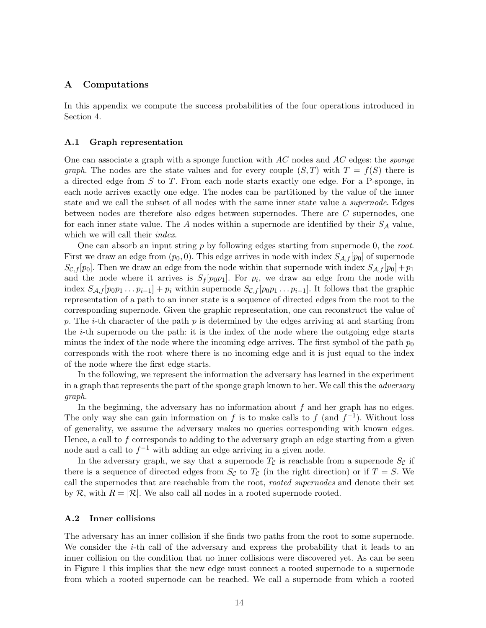# A Computations

In this appendix we compute the success probabilities of the four operations introduced in Section 4.

### A.1 Graph representation

One can associate a graph with a sponge function with  $AC$  nodes and  $AC$  edges: the *sponge* graph. The nodes are the state values and for every couple  $(S,T)$  with  $T = f(S)$  there is a directed edge from S to T. From each node starts exactly one edge. For a P-sponge, in each node arrives exactly one edge. The nodes can be partitioned by the value of the inner state and we call the subset of all nodes with the same inner state value a supernode. Edges between nodes are therefore also edges between supernodes. There are C supernodes, one for each inner state value. The  $A$  nodes within a supernode are identified by their  $S_A$  value, which we will call their *index*.

One can absorb an input string  $p$  by following edges starting from supernode 0, the root. First we draw an edge from  $(p_0, 0)$ . This edge arrives in node with index  $S_{\mathcal{A},f}[p_0]$  of supernode  $S_{\mathcal{C},f}[p_0]$ . Then we draw an edge from the node within that supernode with index  $S_{\mathcal{A},f}[p_0] + p_1$ and the node where it arrives is  $S_f[p_0p_1]$ . For  $p_i$ , we draw an edge from the node with index  $S_{\mathcal{A},f}[p_0p_1\ldots p_{i-1}]+p_i$  within supernode  $S_{\mathcal{C},f}[p_0p_1\ldots p_{i-1}]$ . It follows that the graphic representation of a path to an inner state is a sequence of directed edges from the root to the corresponding supernode. Given the graphic representation, one can reconstruct the value of p. The *i*-th character of the path p is determined by the edges arriving at and starting from the i-th supernode on the path: it is the index of the node where the outgoing edge starts minus the index of the node where the incoming edge arrives. The first symbol of the path  $p_0$ corresponds with the root where there is no incoming edge and it is just equal to the index of the node where the first edge starts.

In the following, we represent the information the adversary has learned in the experiment in a graph that represents the part of the sponge graph known to her. We call this the *adversary* graph.

In the beginning, the adversary has no information about  $f$  and her graph has no edges. The only way she can gain information on f is to make calls to f (and  $f^{-1}$ ). Without loss of generality, we assume the adversary makes no queries corresponding with known edges. Hence, a call to  $f$  corresponds to adding to the adversary graph an edge starting from a given node and a call to  $f^{-1}$  with adding an edge arriving in a given node.

In the adversary graph, we say that a supernode  $T_{\mathcal{C}}$  is reachable from a supernode  $S_{\mathcal{C}}$  if there is a sequence of directed edges from  $S_{\mathcal{C}}$  to  $T_{\mathcal{C}}$  (in the right direction) or if  $T = S$ . We call the supernodes that are reachable from the root, rooted supernodes and denote their set by R, with  $R = |\mathcal{R}|$ . We also call all nodes in a rooted supernode rooted.

#### A.2 Inner collisions

The adversary has an inner collision if she finds two paths from the root to some supernode. We consider the *i*-th call of the adversary and express the probability that it leads to an inner collision on the condition that no inner collisions were discovered yet. As can be seen in Figure 1 this implies that the new edge must connect a rooted supernode to a supernode from which a rooted supernode can be reached. We call a supernode from which a rooted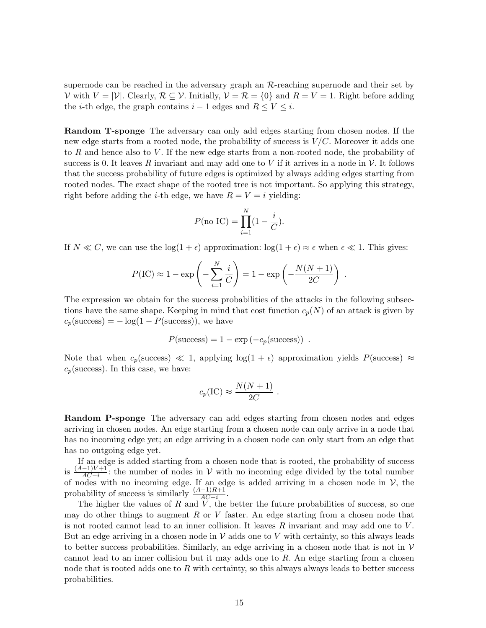supernode can be reached in the adversary graph an R-reaching supernode and their set by V with  $V = |\mathcal{V}|$ . Clearly,  $\mathcal{R} \subseteq \mathcal{V}$ . Initially,  $\mathcal{V} = \mathcal{R} = \{0\}$  and  $R = V = 1$ . Right before adding the *i*-th edge, the graph contains  $i - 1$  edges and  $R \leq V \leq i$ .

Random T-sponge The adversary can only add edges starting from chosen nodes. If the new edge starts from a rooted node, the probability of success is  $V/C$ . Moreover it adds one to R and hence also to V. If the new edge starts from a non-rooted node, the probability of success is 0. It leaves R invariant and may add one to V if it arrives in a node in V. It follows that the success probability of future edges is optimized by always adding edges starting from rooted nodes. The exact shape of the rooted tree is not important. So applying this strategy, right before adding the *i*-th edge, we have  $R = V = i$  yielding:

$$
P(\text{no IC}) = \prod_{i=1}^{N} (1 - \frac{i}{C}).
$$

If  $N \ll C$ , we can use the  $\log(1+\epsilon)$  approximation:  $\log(1+\epsilon) \approx \epsilon$  when  $\epsilon \ll 1$ . This gives:

$$
P(\text{IC}) \approx 1 - \exp\left(-\sum_{i=1}^{N} \frac{i}{C}\right) = 1 - \exp\left(-\frac{N(N+1)}{2C}\right) .
$$

The expression we obtain for the success probabilities of the attacks in the following subsections have the same shape. Keeping in mind that cost function  $c_p(N)$  of an attack is given by  $c_p(\text{success}) = -\log(1 - P(\text{success}))$ , we have

$$
P(\text{success}) = 1 - \exp(-c_p(\text{success})) .
$$

Note that when  $c_p$ (success)  $\ll 1$ , applying  $log(1 + \epsilon)$  approximation yields  $P$ (success)  $\approx$  $c_p$ (success). In this case, we have:

$$
c_p(\text{IC}) \approx \frac{N(N+1)}{2C} \ .
$$

Random P-sponge The adversary can add edges starting from chosen nodes and edges arriving in chosen nodes. An edge starting from a chosen node can only arrive in a node that has no incoming edge yet; an edge arriving in a chosen node can only start from an edge that has no outgoing edge yet.

If an edge is added starting from a chosen node that is rooted, the probability of success is  $\frac{(A-1)V+1}{AC-i}$ : the number of nodes in V with no incoming edge divided by the total number of nodes with no incoming edge. If an edge is added arriving in a chosen node in  $V$ , the probability of success is similarly  $\frac{(A-1)R+1}{AC-i}$ .

The higher the values of  $R$  and  $V$ , the better the future probabilities of success, so one may do other things to augment  $R$  or  $V$  faster. An edge starting from a chosen node that is not rooted cannot lead to an inner collision. It leaves  $R$  invariant and may add one to  $V$ . But an edge arriving in a chosen node in  $V$  adds one to V with certainty, so this always leads to better success probabilities. Similarly, an edge arriving in a chosen node that is not in  $V$ cannot lead to an inner collision but it may adds one to  $R$ . An edge starting from a chosen node that is rooted adds one to  $R$  with certainty, so this always always leads to better success probabilities.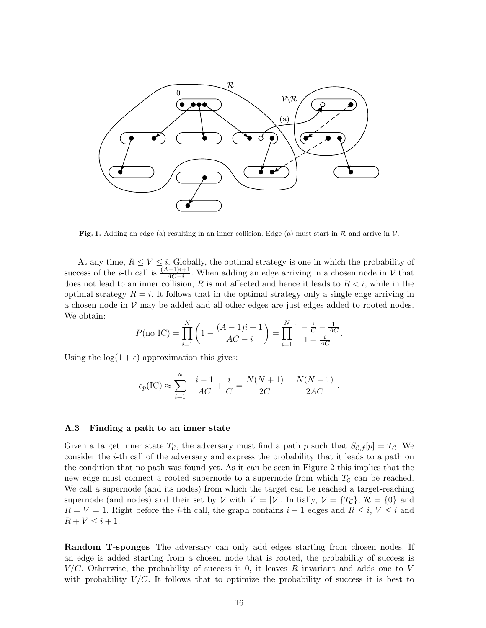

**Fig. 1.** Adding an edge (a) resulting in an inner collision. Edge (a) must start in  $\mathcal{R}$  and arrive in  $\mathcal{V}$ .

At any time,  $R \leq V \leq i$ . Globally, the optimal strategy is one in which the probability of success of the *i*-th call is  $\frac{(A-1)i+1}{AC-i}$ . When adding an edge arriving in a chosen node in  $\mathcal V$  that does not lead to an inner collision, R is not affected and hence it leads to  $R < i$ , while in the optimal strategy  $R = i$ . It follows that in the optimal strategy only a single edge arriving in a chosen node in  $V$  may be added and all other edges are just edges added to rooted nodes. We obtain:

$$
P(\text{no IC}) = \prod_{i=1}^{N} \left( 1 - \frac{(A-1)i+1}{AC-i} \right) = \prod_{i=1}^{N} \frac{1 - \frac{i}{C} - \frac{1}{AC}}{1 - \frac{i}{AC}}.
$$

Using the  $log(1 + \epsilon)$  approximation this gives:

$$
c_p(\text{IC}) \approx \sum_{i=1}^N -\frac{i-1}{AC} + \frac{i}{C} = \frac{N(N+1)}{2C} - \frac{N(N-1)}{2AC}.
$$

### A.3 Finding a path to an inner state

Given a target inner state  $T_c$ , the adversary must find a path p such that  $S_{\mathcal{C},f}[p] = T_c$ . We consider the i-th call of the adversary and express the probability that it leads to a path on the condition that no path was found yet. As it can be seen in Figure 2 this implies that the new edge must connect a rooted supernode to a supernode from which  $T_c$  can be reached. We call a supernode (and its nodes) from which the target can be reached a target-reaching supernode (and nodes) and their set by V with  $V = |\mathcal{V}|$ . Initially,  $\mathcal{V} = \{T_{\mathcal{C}}\}, \mathcal{R} = \{0\}$  and  $R = V = 1$ . Right before the *i*-th call, the graph contains  $i - 1$  edges and  $R \leq i$ ,  $V \leq i$  and  $R + V \leq i + 1.$ 

Random T-sponges The adversary can only add edges starting from chosen nodes. If an edge is added starting from a chosen node that is rooted, the probability of success is  $V/C$ . Otherwise, the probability of success is 0, it leaves R invariant and adds one to V with probability  $V/C$ . It follows that to optimize the probability of success it is best to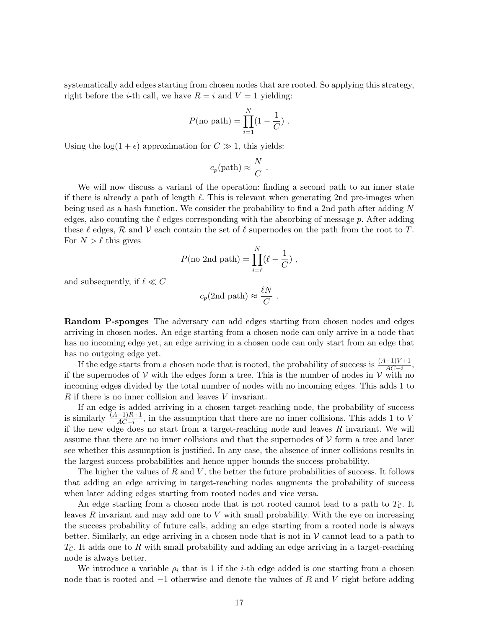systematically add edges starting from chosen nodes that are rooted. So applying this strategy, right before the *i*-th call, we have  $R = i$  and  $V = 1$  yielding:

$$
P(\text{no path}) = \prod_{i=1}^{N} (1 - \frac{1}{C}).
$$

Using the  $log(1 + \epsilon)$  approximation for  $C \gg 1$ , this yields:

$$
c_p(\text{path}) \approx \frac{N}{C}
$$
.

We will now discuss a variant of the operation: finding a second path to an inner state if there is already a path of length  $\ell$ . This is relevant when generating 2nd pre-images when being used as a hash function. We consider the probability to find a 2nd path after adding N edges, also counting the  $\ell$  edges corresponding with the absorbing of message p. After adding these  $\ell$  edges,  $\mathcal R$  and  $\mathcal V$  each contain the set of  $\ell$  supernodes on the path from the root to T. For  $N > \ell$  this gives

$$
P(\text{no 2nd path}) = \prod_{i=\ell}^N (\ell - \frac{1}{C}) \ ,
$$

and subsequently, if  $\ell \ll C$ 

$$
c_p(\text{2nd path}) \approx \frac{\ell N}{C}
$$
.

Random P-sponges The adversary can add edges starting from chosen nodes and edges arriving in chosen nodes. An edge starting from a chosen node can only arrive in a node that has no incoming edge yet, an edge arriving in a chosen node can only start from an edge that has no outgoing edge yet.

If the edge starts from a chosen node that is rooted, the probability of success is  $\frac{(A-1)V+1}{AC-i}$ , if the supernodes of  $V$  with the edges form a tree. This is the number of nodes in  $V$  with no incoming edges divided by the total number of nodes with no incoming edges. This adds 1 to R if there is no inner collision and leaves V invariant.

If an edge is added arriving in a chosen target-reaching node, the probability of success is similarly  $\frac{(A-1)R+1}{AC-i}$ , in the assumption that there are no inner collisions. This adds 1 to V if the new edge does no start from a target-reaching node and leaves  $R$  invariant. We will assume that there are no inner collisions and that the supernodes of  $\mathcal V$  form a tree and later see whether this assumption is justified. In any case, the absence of inner collisions results in the largest success probabilities and hence upper bounds the success probability.

The higher the values of  $R$  and  $V$ , the better the future probabilities of success. It follows that adding an edge arriving in target-reaching nodes augments the probability of success when later adding edges starting from rooted nodes and vice versa.

An edge starting from a chosen node that is not rooted cannot lead to a path to  $T_c$ . It leaves  $R$  invariant and may add one to  $V$  with small probability. With the eye on increasing the success probability of future calls, adding an edge starting from a rooted node is always better. Similarly, an edge arriving in a chosen node that is not in  $\mathcal V$  cannot lead to a path to  $T_{\mathcal{C}}$ . It adds one to R with small probability and adding an edge arriving in a target-reaching node is always better.

We introduce a variable  $\rho_i$  that is 1 if the *i*-th edge added is one starting from a chosen node that is rooted and  $-1$  otherwise and denote the values of R and V right before adding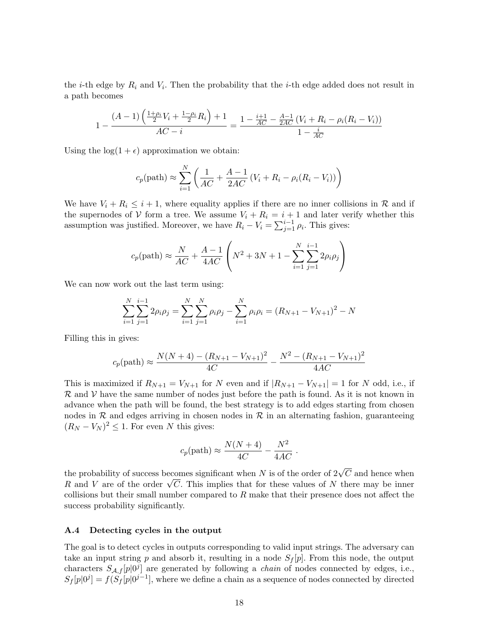the *i*-th edge by  $R_i$  and  $V_i$ . Then the probability that the *i*-th edge added does not result in a path becomes

$$
1 - \frac{(A-1)\left(\frac{1+\rho_i}{2}V_i + \frac{1-\rho_i}{2}R_i\right) + 1}{AC - i} = \frac{1 - \frac{i+1}{AC} - \frac{A-1}{2AC}(V_i + R_i - \rho_i(R_i - V_i))}{1 - \frac{i}{AC}}
$$

Using the  $log(1 + \epsilon)$  approximation we obtain:

$$
c_p(\text{path}) \approx \sum_{i=1}^{N} \left( \frac{1}{AC} + \frac{A-1}{2AC} \left( V_i + R_i - \rho_i (R_i - V_i) \right) \right)
$$

We have  $V_i + R_i \leq i + 1$ , where equality applies if there are no inner collisions in R and if the supernodes of V form a tree. We assume  $V_i + R_i = i + 1$  and later verify whether this assumption was justified. Moreover, we have  $R_i - V_i = \sum_{j=1}^{i-1} \rho_i$ . This gives:

$$
c_p(\text{path}) \approx \frac{N}{AC} + \frac{A-1}{4AC} \left( N^2 + 3N + 1 - \sum_{i=1}^{N} \sum_{j=1}^{i-1} 2\rho_i \rho_j \right)
$$

We can now work out the last term using:

$$
\sum_{i=1}^{N} \sum_{j=1}^{i-1} 2\rho_i \rho_j = \sum_{i=1}^{N} \sum_{j=1}^{N} \rho_i \rho_j - \sum_{i=1}^{N} \rho_i \rho_i = (R_{N+1} - V_{N+1})^2 - N
$$

Filling this in gives:

$$
c_p(\text{path}) \approx \frac{N(N+4) - (R_{N+1} - V_{N+1})^2}{4C} - \frac{N^2 - (R_{N+1} - V_{N+1})^2}{4AC}
$$

This is maximized if  $R_{N+1} = V_{N+1}$  for N even and if  $|R_{N+1} - V_{N+1}| = 1$  for N odd, i.e., if  $\mathcal R$  and  $\mathcal V$  have the same number of nodes just before the path is found. As it is not known in advance when the path will be found, the best strategy is to add edges starting from chosen nodes in  $R$  and edges arriving in chosen nodes in  $R$  in an alternating fashion, guaranteeing  $(R_N - V_N)^2 \leq 1$ . For even N this gives:

$$
c_p(\mathrm{path}) \approx \frac{N(N+4)}{4C} - \frac{N^2}{4AC} .
$$

the probability of success becomes significant when  $N$  is of the order of  $2\sqrt{C}$  and hence when the probability of success becomes significant when N is of the order of  $2\nabla C$  and hence when R and V are of the order  $\sqrt{C}$ . This implies that for these values of N there may be inner collisions but their small number compared to  $R$  make that their presence does not affect the success probability significantly.

#### A.4 Detecting cycles in the output

The goal is to detect cycles in outputs corresponding to valid input strings. The adversary can take an input string p and absorb it, resulting in a node  $S_f[p]$ . From this node, the output characters  $S_{A,f}[p]^{[0]}$  are generated by following a *chain* of nodes connected by edges, i.e.,  $S_f[p|0^j] = f(S_f[p|0^{j-1}],$  where we define a chain as a sequence of nodes connected by directed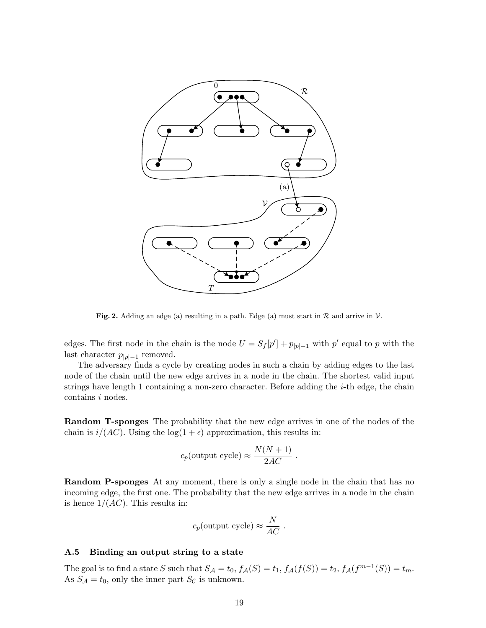

**Fig. 2.** Adding an edge (a) resulting in a path. Edge (a) must start in  $\mathcal{R}$  and arrive in  $\mathcal{V}$ .

edges. The first node in the chain is the node  $U = S_f[p'] + p_{|p|-1}$  with  $p'$  equal to p with the last character  $p_{|p|-1}$  removed.

The adversary finds a cycle by creating nodes in such a chain by adding edges to the last node of the chain until the new edge arrives in a node in the chain. The shortest valid input strings have length 1 containing a non-zero character. Before adding the i-th edge, the chain contains i nodes.

Random T-sponges The probability that the new edge arrives in one of the nodes of the chain is  $i/(AC)$ . Using the  $log(1 + \epsilon)$  approximation, this results in:

$$
c_p
$$
(output cycle)  $\approx \frac{N(N+1)}{2AC}$ .

Random P-sponges At any moment, there is only a single node in the chain that has no incoming edge, the first one. The probability that the new edge arrives in a node in the chain is hence  $1/(AC)$ . This results in:

$$
c_p
$$
(output cycle)  $\approx \frac{N}{AC}$ .

### A.5 Binding an output string to a state

The goal is to find a state S such that  $S_{\mathcal{A}} = t_0$ ,  $f_{\mathcal{A}}(S) = t_1$ ,  $f_{\mathcal{A}}(f(S)) = t_2$ ,  $f_{\mathcal{A}}(f^{m-1}(S)) = t_m$ . As  $S_A = t_0$ , only the inner part  $S_C$  is unknown.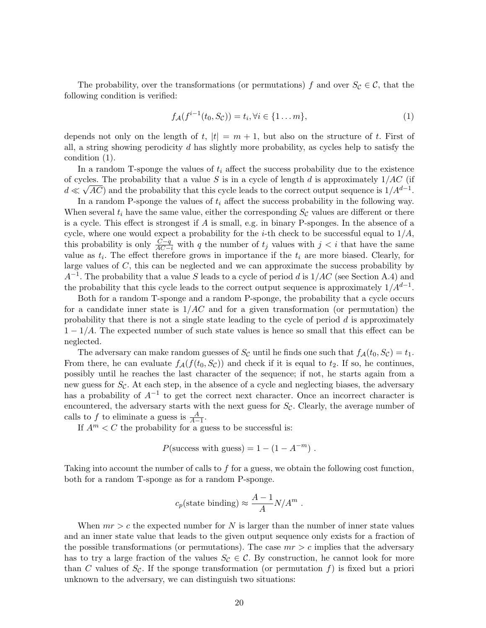The probability, over the transformations (or permutations) f and over  $S_{\mathcal{C}} \in \mathcal{C}$ , that the following condition is verified:

$$
f_{\mathcal{A}}(f^{i-1}(t_0, S_{\mathcal{C}})) = t_i, \forall i \in \{1 \dots m\},\tag{1}
$$

depends not only on the length of t,  $|t| = m + 1$ , but also on the structure of t. First of all, a string showing perodicity  $d$  has slightly more probability, as cycles help to satisfy the condition (1).

In a random T-sponge the values of  $t_i$  affect the success probability due to the existence of cycles. The probability that a value S is in a cycle of length d is approximately  $1/AC$  (if  $d \ll \sqrt{AC}$ ) and the probability that this cycle leads to the correct output sequence is  $1/A^{d-1}$ .

In a random P-sponge the values of  $t_i$  affect the success probability in the following way. When several  $t_i$  have the same value, either the corresponding  $S_c$  values are different or there is a cycle. This effect is strongest if A is small, e.g. in binary P-sponges. In the absence of a cycle, where one would expect a probability for the *i*-th check to be successful equal to  $1/A$ , this probability is only  $\frac{C-q}{AC-i}$  with q the number of  $t_j$  values with  $j < i$  that have the same value as  $t_i$ . The effect therefore grows in importance if the  $t_i$  are more biased. Clearly, for large values of  $C$ , this can be neglected and we can approximate the success probability by  $A^{-1}$ . The probability that a value S leads to a cycle of period d is  $1/AC$  (see Section A.4) and the probability that this cycle leads to the correct output sequence is approximately  $1/A^{d-1}$ .

Both for a random T-sponge and a random P-sponge, the probability that a cycle occurs for a candidate inner state is  $1/AC$  and for a given transformation (or permutation) the probability that there is not a single state leading to the cycle of period  $d$  is approximately  $1 - 1/A$ . The expected number of such state values is hence so small that this effect can be neglected.

The adversary can make random guesses of  $S_{\mathcal{C}}$  until he finds one such that  $f_{\mathcal{A}}(t_0, S_{\mathcal{C}}) = t_1$ . From there, he can evaluate  $f_{\mathcal{A}}(f(t_0, S_{\mathcal{C}}))$  and check if it is equal to  $t_2$ . If so, he continues, possibly until he reaches the last character of the sequence; if not, he starts again from a new guess for  $S_{\mathcal{C}}$ . At each step, in the absence of a cycle and neglecting biases, the adversary has a probability of  $A^{-1}$  to get the correct next character. Once an incorrect character is encountered, the adversary starts with the next guess for  $S_{\mathcal{C}}$ . Clearly, the average number of calls to f to eliminate a guess is  $\frac{A}{A-1}$ .

If  $A^m < C$  the probability for a guess to be successful is:

$$
P(\text{success with guess}) = 1 - (1 - A^{-m}).
$$

Taking into account the number of calls to f for a guess, we obtain the following cost function, both for a random T-sponge as for a random P-sponge.

$$
c_p
$$
(state binding)  $\approx \frac{A-1}{A}N/A^m$ .

When  $mr > c$  the expected number for N is larger than the number of inner state values and an inner state value that leads to the given output sequence only exists for a fraction of the possible transformations (or permutations). The case  $mr > c$  implies that the adversary has to try a large fraction of the values  $S_{\mathcal{C}} \in \mathcal{C}$ . By construction, he cannot look for more than C values of  $S_c$ . If the sponge transformation (or permutation f) is fixed but a priori unknown to the adversary, we can distinguish two situations: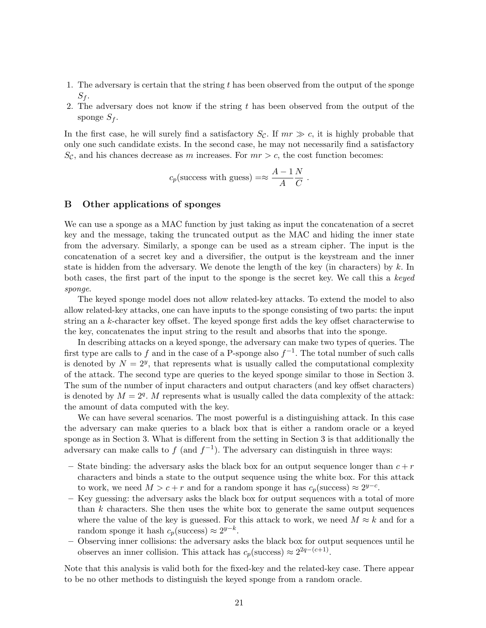- 1. The adversary is certain that the string  $t$  has been observed from the output of the sponge  $S_f$ .
- 2. The adversary does not know if the string t has been observed from the output of the sponge  $S_f$ .

In the first case, he will surely find a satisfactory  $S_c$ . If  $mr \gg c$ , it is highly probable that only one such candidate exists. In the second case, he may not necessarily find a satisfactory  $S_{\mathcal{C}}$ , and his chances decrease as m increases. For  $mr > c$ , the cost function becomes:

$$
c_p
$$
(success with guess)  $= \approx \frac{A-1}{A} \frac{N}{C}$ .

# B Other applications of sponges

We can use a sponge as a MAC function by just taking as input the concatenation of a secret key and the message, taking the truncated output as the MAC and hiding the inner state from the adversary. Similarly, a sponge can be used as a stream cipher. The input is the concatenation of a secret key and a diversifier, the output is the keystream and the inner state is hidden from the adversary. We denote the length of the key (in characters) by  $k$ . In both cases, the first part of the input to the sponge is the secret key. We call this a keyed sponge.

The keyed sponge model does not allow related-key attacks. To extend the model to also allow related-key attacks, one can have inputs to the sponge consisting of two parts: the input string an a k-character key offset. The keyed sponge first adds the key offset characterwise to the key, concatenates the input string to the result and absorbs that into the sponge.

In describing attacks on a keyed sponge, the adversary can make two types of queries. The first type are calls to f and in the case of a P-sponge also  $f^{-1}$ . The total number of such calls is denoted by  $N = 2^y$ , that represents what is usually called the computational complexity of the attack. The second type are queries to the keyed sponge similar to those in Section 3. The sum of the number of input characters and output characters (and key offset characters) is denoted by  $M = 2<sup>q</sup>$ . M represents what is usually called the data complexity of the attack: the amount of data computed with the key.

We can have several scenarios. The most powerful is a distinguishing attack. In this case the adversary can make queries to a black box that is either a random oracle or a keyed sponge as in Section 3. What is different from the setting in Section 3 is that additionally the adversary can make calls to  $f$  (and  $f^{-1}$ ). The adversary can distinguish in three ways:

- State binding: the adversary asks the black box for an output sequence longer than  $c + r$ characters and binds a state to the output sequence using the white box. For this attack to work, we need  $M > c + r$  and for a random sponge it has  $c_p(\text{success}) \approx 2^{y-c}$ .
- Key guessing: the adversary asks the black box for output sequences with a total of more than  $k$  characters. She then uses the white box to generate the same output sequences where the value of the key is guessed. For this attack to work, we need  $M \approx k$  and for a random sponge it hash  $c_p$ (success) ≈  $2^{y-k}$ .
- Observing inner collisions: the adversary asks the black box for output sequences until he observes an inner collision. This attack has  $c_p(\text{success}) \approx 2^{2q - (c+1)}$ .

Note that this analysis is valid both for the fixed-key and the related-key case. There appear to be no other methods to distinguish the keyed sponge from a random oracle.